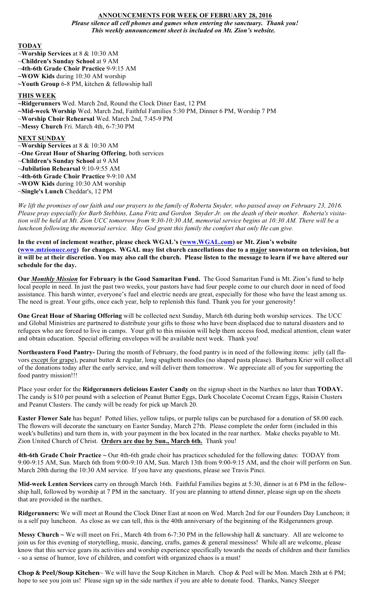## **ANNOUNCEMENTS FOR WEEK OF FEBRUARY 28, 2016** *Please silence all cell phones and games when entering the sanctuary. Thank you! This weekly announcement sheet is included on Mt. Zion's website.*

#### **TODAY**

- ~**Worship Services** at 8 & 10:30 AM
- ~**Children's Sunday School** at 9 AM
- ~**4th-6th Grade Choir Practice** 9-9:15 AM
- **~WOW Kids** during 10:30 AM worship
- **~Youth Group** 6-8 PM, kitchen & fellowship hall

# **THIS WEEK**

- **~Ridgerunners** Wed. March 2nd, Round the Clock Diner East, 12 PM
- **~Mid-week Worship** Wed. March 2nd, Faithful Families 5:30 PM, Dinner 6 PM, Worship 7 PM
- ~**Worship Choir Rehearsal** Wed. March 2nd, 7:45-9 PM
- ~**Messy Church** Fri. March 4th, 6-7:30 PM

## **NEXT SUNDAY**

- ~**Worship Services** at 8 & 10:30 AM
- ~**One Great Hour of Sharing Offering**, both services
- ~**Children's Sunday School** at 9 AM
- ~**Jubilation Rehearsal** 9:10-9:55 AM
- ~**4th-6th Grade Choir Practice** 9-9:10 AM
- **~WOW Kids** during 10:30 AM worship
- ~**Single's Lunch** Cheddar's, 12 PM

*We lift the promises of our faith and our prayers to the family of Roberta Snyder, who passed away on February 23, 2016. Please pray especially for Barb Stebbins, Lana Fritz and Gordon Snyder Jr. on the death of their mother. Roberta's visitation will be held at Mt. Zion UCC tomorrow from 9:30-10:30 AM, memorial service begins at 10:30 AM. There will be a luncheon following the memorial service. May God grant this family the comfort that only He can give.*

**In the event of inclement weather, please check WGAL's (www.WGAL.com) or Mt. Zion's website (www.mtzionucc.org) for changes. WGAL may list church cancellations due to a major snowstorm on television, but it will be at their discretion. You may also call the church. Please listen to the message to learn if we have altered our schedule for the day.** 

**Our** *Monthly Mission* **for February is the Good Samaritan Fund.** The Good Samaritan Fund is Mt. Zion's fund to help local people in need. In just the past two weeks, your pastors have had four people come to our church door in need of food assistance. This harsh winter, everyone's fuel and electric needs are great, especially for those who have the least among us. The need is great. Your gifts, once each year, help to replenish this fund. Thank you for your generosity!

**One Great Hour of Sharing Offering** will be collected next Sunday, March 6th during both worship services. The UCC and Global Ministries are partnered to distribute your gifts to those who have been displaced due to natural disasters and to refugees who are forced to live in camps. Your gift to this mission will help them access food, medical attention, clean water and obtain education. Special offering envelopes will be available next week. Thank you!

**Northeastern Food Pantry-** During the month of February, the food pantry is in need of the following items: jelly (all flavors except for grape), peanut butter & regular, long spaghetti noodles (no shaped pasta please). Barbara Krier will collect all of the donations today after the early service, and will deliver them tomorrow. We appreciate all of you for supporting the food pantry mission!!!

Place your order for the **Ridgerunners delicious Easter Candy** on the signup sheet in the Narthex no later than **TODAY.** The candy is \$10 per pound with a selection of Peanut Butter Eggs, Dark Chocolate Coconut Cream Eggs, Raisin Clusters and Peanut Clusters. The candy will be ready for pick up March 20.

**Easter Flower Sale** has begun! Potted lilies, yellow tulips, or purple tulips can be purchased for a donation of \$8.00 each. The flowers will decorate the sanctuary on Easter Sunday, March 27th. Please complete the order form (included in this week's bulletins) and turn them in, with your payment in the box located in the rear narthex. Make checks payable to Mt. Zion United Church of Christ. **Orders are due by Sun., March 6th.** Thank you!

**4th-6th Grade Choir Practice ~** Our 4th-6th grade choir has practices scheduled for the following dates: TODAY from 9:00-9:15 AM, Sun. March 6th from 9:00-9:10 AM, Sun. March 13th from 9:00-9:15 AM, and the choir will perform on Sun. March 20th during the 10:30 AM service. If you have any questions, please see Travis Pinci.

**Mid-week Lenten Services** carry on through March 16th. Faithful Families begins at 5:30, dinner is at 6 PM in the fellowship hall, followed by worship at 7 PM in the sanctuary. If you are planning to attend dinner, please sign up on the sheets that are provided in the narthex.

**Ridgerunners:** We will meet at Round the Clock Diner East at noon on Wed. March 2nd for our Founders Day Luncheon; it is a self pay luncheon. As close as we can tell, this is the 40th anniversary of the beginning of the Ridgerunners group.

**Messy Church**  $\sim$  We will meet on Fri., March 4th from 6-7:30 PM in the fellowship hall  $\&$  sanctuary. All are welcome to join us for this evening of storytelling, music, dancing, crafts, games & general messiness! While all are welcome, please know that this service gears its activities and worship experience specifically towards the needs of children and their families - so a sense of humor, love of children, and comfort with organized chaos is a must!

**Chop & Peel/Soup Kitchen**~ We will have the Soup Kitchen in March. Chop & Peel will be Mon. March 28th at 6 PM; hope to see you join us! Please sign up in the side narthex if you are able to donate food. Thanks, Nancy Sleeger